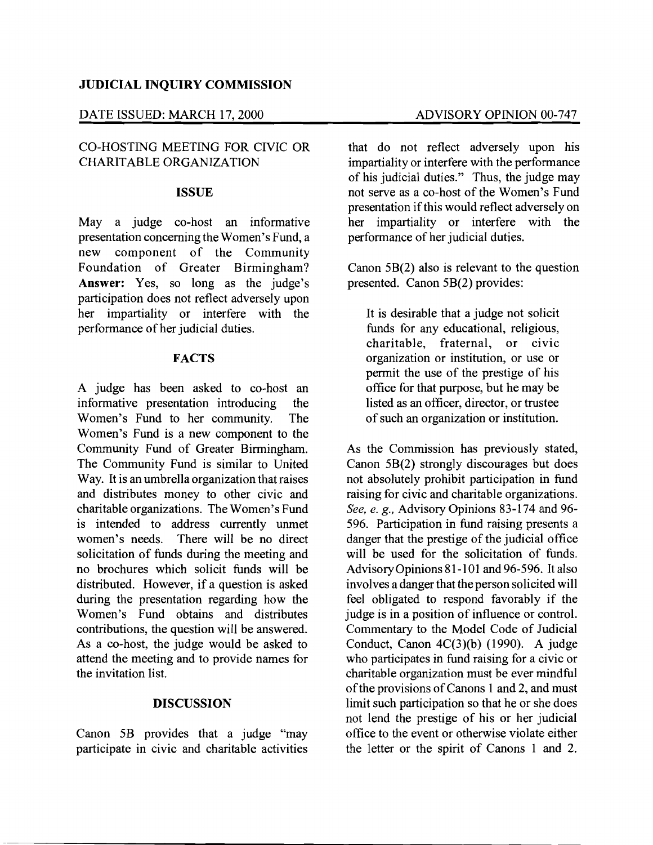## **JUDICIAL INQUIRY COMMISSION**

## DATE ISSUED: MARCH 17, 2000 ADVISORY OPINION 00-747

# CO-HOSTING MEETING FOR CIVIC OR CHARITABLE ORGANIZATION

#### **ISSUE**

May a judge co-host an informative presentation concerning the Women's Fund, a new component of the Community Foundation of Greater Birmingham? **Answer:** Yes, so long as the judge's participation does not reflect adversely upon her impartiality or interfere with the performance of her judicial duties.

### **FACTS**

A judge has been asked to co-host an informative presentation introducing the Women's Fund to her community. The Women's Fund is a new component to the Community Fund of Greater Birmingham. The Community Fund is similar to United Way. It is an umbrella organization that raises and distributes money to other civic and charitable organizations. The Women's Fund is intended to address currently unmet women's needs. There will be no direct solicitation of funds during the meeting and no brochures which solicit funds will be distributed. However, if a question is asked during the presentation regarding how the Women's Fund obtains and distributes contributions, the question will be answered. As a co-host, the judge would be asked to attend the meeting and to provide names for the invitation list.

### **DISCUSSION**

Canon 5B provides that a judge "may participate in civic and charitable activities

that do not reflect adversely upon his impartiality or interfere with the performance of his judicial duties." Thus, the judge may not serve as a co-host of the Women's Fund presentation if this would reflect adversely on her impartiality or interfere with the performance of her judicial duties.

Canon 5B(2) also is relevant to the question presented. Canon 5B(2) provides:

It is desirable that a judge not solicit funds for any educational, religious, charitable, fraternal, or civic organization or institution, or use or permit the use of the prestige of his office for that purpose, but he may be listed as an officer, director, or trustee of such an organization or institution.

As the Commission has previously stated, Canon 5B(2) strongly discourages but does not absolutely prohibit participation in fund raising for civic and charitable organizations. *See, e. g.,* Advisory Opinions 83-174 and 96 596. Participation in fund raising presents a danger that the prestige of the judicial office will be used for the solicitation of funds. AdvisoryOpinions 81-101 and 96-596. It also involves a danger that the person solicited will feel obligated to respond favorably if the judge is in a position of influence or control. Commentary to the Model Code of Judicial Conduct, Canon 4C(3)(b) (1990). A judge who participates in fund raising for a civic or charitable organization must be ever mindful of the provisions of Canons 1 and 2, and must limit such participation so that he or she does not lend the prestige of his or her judicial office to the event or otherwise violate either the letter or the spirit of Canons 1 and 2.